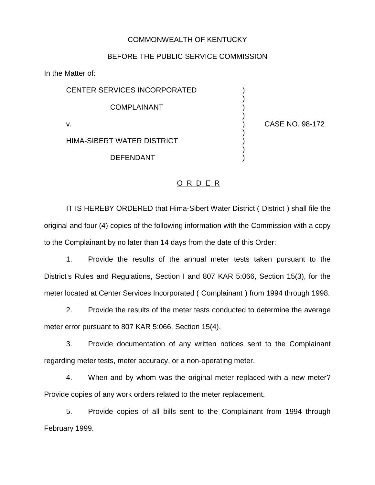## COMMONWEALTH OF KENTUCKY

## BEFORE THE PUBLIC SERVICE COMMISSION

In the Matter of:

CENTER SERVICES INCORPORATED COMPLAINANT ) v. ) CASE NO. 98-172

**DEFENDANT** 

HIMA-SIBERT WATER DISTRICT )

)

)

)

)

## O R D E R

IT IS HEREBY ORDERED that Hima-Sibert Water District ( District ) shall file the original and four (4) copies of the following information with the Commission with a copy to the Complainant by no later than 14 days from the date of this Order:

1. Provide the results of the annual meter tests taken pursuant to the District s Rules and Regulations, Section I and 807 KAR 5:066, Section 15(3), for the meter located at Center Services Incorporated ( Complainant ) from 1994 through 1998.

2. Provide the results of the meter tests conducted to determine the average meter error pursuant to 807 KAR 5:066, Section 15(4).

3. Provide documentation of any written notices sent to the Complainant regarding meter tests, meter accuracy, or a non-operating meter.

4. When and by whom was the original meter replaced with a new meter? Provide copies of any work orders related to the meter replacement.

5. Provide copies of all bills sent to the Complainant from 1994 through February 1999.